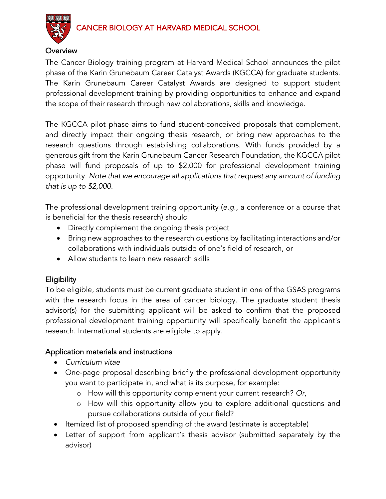# CANCER BIOLOGY AT HARVARD MEDICAL SCHOOL



### **Overview**

The Cancer Biology training program at Harvard Medical School announces the pilot phase of the Karin Grunebaum Career Catalyst Awards (KGCCA) for graduate students. The Karin Grunebaum Career Catalyst Awards are designed to support student professional development training by providing opportunities to enhance and expand the scope of their research through new collaborations, skills and knowledge.

The KGCCA pilot phase aims to fund student-conceived proposals that complement, and directly impact their ongoing thesis research, or bring new approaches to the research questions through establishing collaborations. With funds provided by a generous gift from the Karin Grunebaum Cancer Research Foundation, the KGCCA pilot phase will fund proposals of up to \$2,000 for professional development training opportunity. *Note that we encourage all applications that request any amount of funding that is up to \$2,000.*

The professional development training opportunity (*e.g.,* a conference or a course that is beneficial for the thesis research) should

- Directly complement the ongoing thesis project
- Bring new approaches to the research questions by facilitating interactions and/or collaborations with individuals outside of one's field of research, or
- Allow students to learn new research skills

## **Eligibility**

To be eligible, students must be current graduate student in one of the GSAS programs with the research focus in the area of cancer biology. The graduate student thesis advisor(s) for the submitting applicant will be asked to confirm that the proposed professional development training opportunity will specifically benefit the applicant's research. International students are eligible to apply.

### Application materials and instructions

- *Curriculum vitae*
- One-page proposal describing briefly the professional development opportunity you want to participate in, and what is its purpose, for example:
	- o How will this opportunity complement your current research? *Or,*
	- o How will this opportunity allow you to explore additional questions and pursue collaborations outside of your field?
- Itemized list of proposed spending of the award (estimate is acceptable)
- Letter of support from applicant's thesis advisor (submitted separately by the advisor)